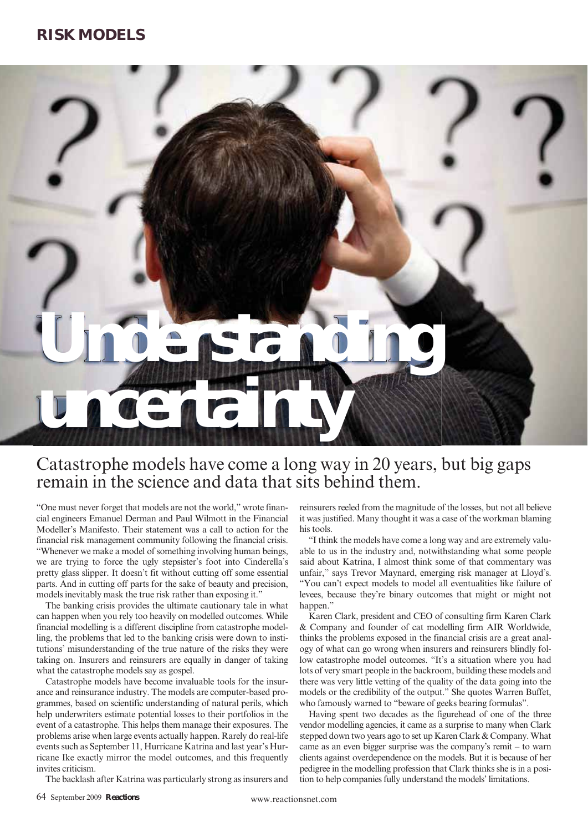# **Understanding uncertainty**

# Catastrophe models have come a long way in 20 years, but big gaps remain in the science and data that sits behind them.

"One must never forget that models are not the world," wrote financial engineers Emanuel Derman and Paul Wilmott in the Financial Modeller's Manifesto. Their statement was a call to action for the financial risk management community following the financial crisis. "Whenever we make a model of something involving human beings, we are trying to force the ugly stepsister's foot into Cinderella's pretty glass slipper. It doesn't fit without cutting off some essential parts. And in cutting off parts for the sake of beauty and precision, models inevitably mask the true risk rather than exposing it."

The banking crisis provides the ultimate cautionary tale in what can happen when you rely too heavily on modelled outcomes. While financial modelling is a different discipline from catastrophe modelling, the problems that led to the banking crisis were down to institutions' misunderstanding of the true nature of the risks they were taking on. Insurers and reinsurers are equally in danger of taking what the catastrophe models say as gospel.

Catastrophe models have become invaluable tools for the insurance and reinsurance industry. The models are computer-based programmes, based on scientific understanding of natural perils, which help underwriters estimate potential losses to their portfolios in the event of a catastrophe. This helps them manage their exposures. The problems arise when large events actually happen. Rarely do real-life events such as September 11, Hurricane Katrina and last year's Hurricane Ike exactly mirror the model outcomes, and this frequently invites criticism.

The backlash after Katrina was particularly strong as insurers and

reinsurers reeled from the magnitude of the losses, but not all believe it was justified. Many thought it was a case of the workman blaming his tools.

"I think the models have come a long way and are extremely valuable to us in the industry and, notwithstanding what some people said about Katrina, I almost think some of that commentary was unfair," says Trevor Maynard, emerging risk manager at Lloyd's. "You can't expect models to model all eventualities like failure of levees, because they're binary outcomes that might or might not happen."

Karen Clark, president and CEO of consulting firm Karen Clark & Company and founder of cat modelling firm AIR Worldwide, thinks the problems exposed in the financial crisis are a great analogy of what can go wrong when insurers and reinsurers blindly follow catastrophe model outcomes. "It's a situation where you had lots of very smart people in the backroom, building these models and there was very little vetting of the quality of the data going into the models or the credibility of the output." She quotes Warren Buffet, who famously warned to "beware of geeks bearing formulas".

Having spent two decades as the figurehead of one of the three vendor modelling agencies, it came as a surprise to many when Clark stepped down two years ago to set up Karen Clark & Company. What came as an even bigger surprise was the company's remit – to warn clients against overdependence on the models. But it is because of her pedigree in the modelling profession that Clark thinks she is in a position to help companies fully understand the models' limitations.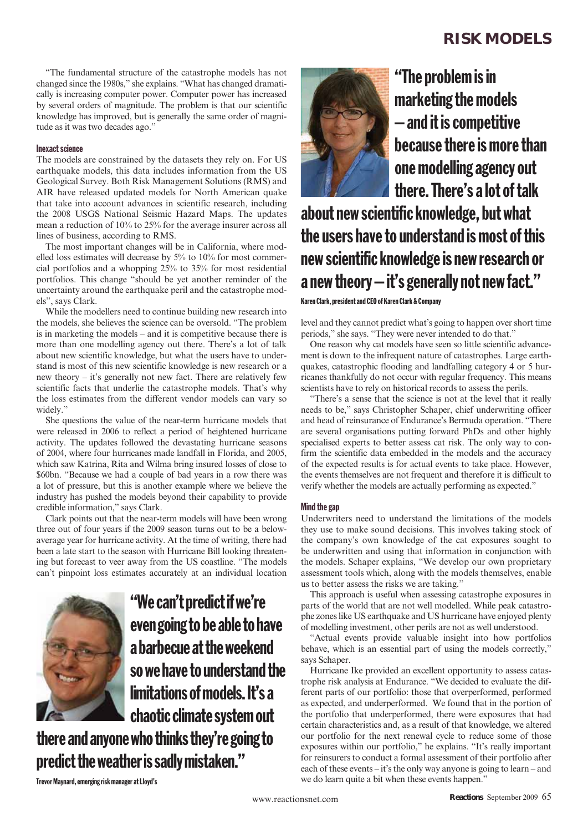"The fundamental structure of the catastrophe models has not changed since the 1980s," she explains. "What has changed dramatically is increasing computer power. Computer power has increased by several orders of magnitude. The problem is that our scientific knowledge has improved, but is generally the same order of magnitude as it was two decades ago."

## Inexact science

The models are constrained by the datasets they rely on. For US earthquake models, this data includes information from the US Geological Survey. Both Risk Management Solutions (RMS) and AIR have released updated models for North American quake that take into account advances in scientific research, including the 2008 USGS National Seismic Hazard Maps. The updates mean a reduction of 10% to 25% for the average insurer across all lines of business, according to RMS.

The most important changes will be in California, where modelled loss estimates will decrease by 5% to 10% for most commercial portfolios and a whopping 25% to 35% for most residential portfolios. This change "should be yet another reminder of the uncertainty around the earthquake peril and the catastrophe models", says Clark.

While the modellers need to continue building new research into the models, she believes the science can be oversold. "The problem is in marketing the models – and it is competitive because there is more than one modelling agency out there. There's a lot of talk about new scientific knowledge, but what the users have to understand is most of this new scientific knowledge is new research or a new theory – it's generally not new fact. There are relatively few scientific facts that underlie the catastrophe models. That's why the loss estimates from the different vendor models can vary so widely.'

She questions the value of the near-term hurricane models that were released in 2006 to reflect a period of heightened hurricane activity. The updates followed the devastating hurricane seasons of 2004, where four hurricanes made landfall in Florida, and 2005, which saw Katrina, Rita and Wilma bring insured losses of close to \$60bn. "Because we had a couple of bad years in a row there was a lot of pressure, but this is another example where we believe the industry has pushed the models beyond their capability to provide credible information," says Clark.

Clark points out that the near-term models will have been wrong three out of four years if the 2009 season turns out to be a belowaverage year for hurricane activity. At the time of writing, there had been a late start to the season with Hurricane Bill looking threatening but forecast to veer away from the US coastline. "The models can't pinpoint loss estimates accurately at an individual location



"We can't predict if we're even going to be able to have a barbecue at the weekend so we have to understand the limitations of models. It's a chaotic climate system out

there and anyone who thinks they're going to predict the weather is sadly mistaken."



"The problem is in marketing the models – and it is competitive because there is more than one modelling agency out there. There's a lot of talk

about new scientific knowledge, but what the users have to understand is most of this new scientific knowledge is new research or a new theory – it's generally not new fact."

Karen Clark, president and CEO of Karen Clark & Company

level and they cannot predict what's going to happen over short time periods," she says. "They were never intended to do that."

One reason why cat models have seen so little scientific advancement is down to the infrequent nature of catastrophes. Large earthquakes, catastrophic flooding and landfalling category 4 or 5 hurricanes thankfully do not occur with regular frequency. This means scientists have to rely on historical records to assess the perils.

"There's a sense that the science is not at the level that it really needs to be," says Christopher Schaper, chief underwriting officer and head of reinsurance of Endurance's Bermuda operation. "There are several organisations putting forward PhDs and other highly specialised experts to better assess cat risk. The only way to confirm the scientific data embedded in the models and the accuracy of the expected results is for actual events to take place. However, the events themselves are not frequent and therefore it is difficult to verify whether the models are actually performing as expected."

# Mind the gap

Underwriters need to understand the limitations of the models they use to make sound decisions. This involves taking stock of the company's own knowledge of the cat exposures sought to be underwritten and using that information in conjunction with the models. Schaper explains, "We develop our own proprietary assessment tools which, along with the models themselves, enable us to better assess the risks we are taking."

This approach is useful when assessing catastrophe exposures in parts of the world that are not well modelled. While peak catastrophe zones like US earthquake and US hurricane have enjoyed plenty of modelling investment, other perils are not as well understood.

"Actual events provide valuable insight into how portfolios behave, which is an essential part of using the models correctly," says Schaper.

Hurricane Ike provided an excellent opportunity to assess catastrophe risk analysis at Endurance. "We decided to evaluate the different parts of our portfolio: those that overperformed, performed as expected, and underperformed. We found that in the portion of the portfolio that underperformed, there were exposures that had certain characteristics and, as a result of that knowledge, we altered our portfolio for the next renewal cycle to reduce some of those exposures within our portfolio," he explains. "It's really important for reinsurers to conduct a formal assessment of their portfolio after each of these events – it's the only way anyone is going to learn – and we do learn quite a bit when these events happen."